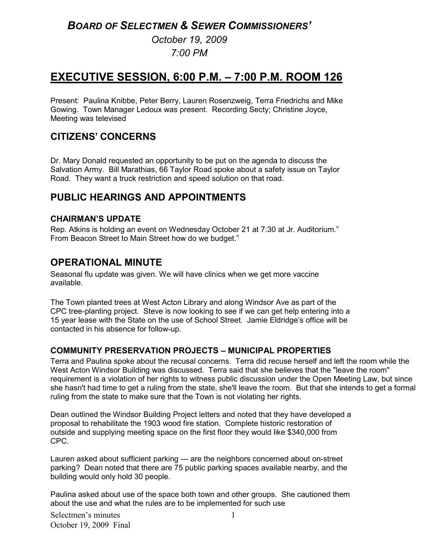# *BOARD OF SELECTMEN & SEWER COMMISSIONERS'*

*October 19, 2009 7:00 PM* 

# **EXECUTIVE SESSION, 6:00 P.M. – 7:00 P.M. ROOM 126**

Present: Paulina Knibbe, Peter Berry, Lauren Rosenzweig, Terra Friedrichs and Mike Gowing. Town Manager Ledoux was present. Recording Secty; Christine Joyce, Meeting was televised

### **CITIZENS' CONCERNS**

Dr. Mary Donald requested an opportunity to be put on the agenda to discuss the Salvation Army. Bill Marathias, 66 Taylor Road spoke about a safety issue on Taylor Road. They want a truck restriction and speed solution on that road.

# **PUBLIC HEARINGS AND APPOINTMENTS**

#### **CHAIRMAN'S UPDATE**

Rep. Atkins is holding an event on Wednesday October 21 at 7:30 at Jr. Auditorium." From Beacon Street to Main Street how do we budget."

# **OPERATIONAL MINUTE**

Seasonal flu update was given. We will have clinics when we get more vaccine available.

The Town planted trees at West Acton Library and along Windsor Ave as part of the CPC tree-planting project. Steve is now looking to see if we can get help entering into a 15 year lease with the State on the use of School Street. Jamie Eldridge's office will be contacted in his absence for follow-up.

#### **COMMUNITY PRESERVATION PROJECTS – MUNICIPAL PROPERTIES**

Terra and Paulina spoke about the recusal concerns. Terra did recuse herself and left the room while the West Acton Windsor Building was discussed. Terra said that she believes that the "leave the room" requirement is a violation of her rights to witness public discussion under the Open Meeting Law, but since she hasn't had time to get a ruling from the state, she'll leave the room. But that she intends to get a formal ruling from the state to make sure that the Town is not violating her rights.

Dean outlined the Windsor Building Project letters and noted that they have developed a proposal to rehabilitate the 1903 wood fire station. Complete historic restoration of outside and supplying meeting space on the first floor they would like \$340,000 from CPC.

Lauren asked about sufficient parking --- are the neighbors concerned about on-street parking? Dean noted that there are 75 public parking spaces available nearby, and the building would only hold 30 people.

Paulina asked about use of the space both town and other groups. She cautioned them about the use and what the rules are to be implemented for such use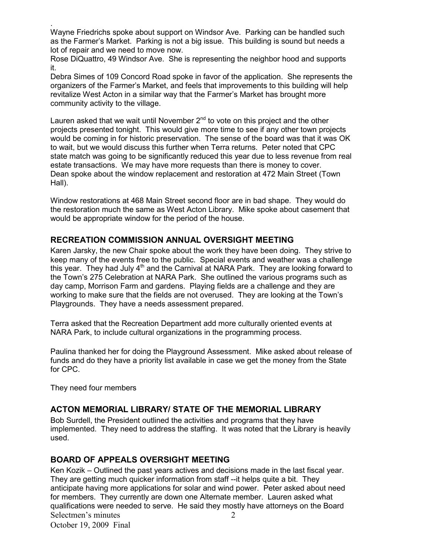. Wayne Friedrichs spoke about support on Windsor Ave. Parking can be handled such as the Farmer's Market. Parking is not a big issue. This building is sound but needs a lot of repair and we need to move now.

Rose DiQuattro, 49 Windsor Ave. She is representing the neighbor hood and supports it.

Debra Simes of 109 Concord Road spoke in favor of the application. She represents the organizers of the Farmer's Market, and feels that improvements to this building will help revitalize West Acton in a similar way that the Farmer's Market has brought more community activity to the village.

Lauren asked that we wait until November  $2<sup>nd</sup>$  to vote on this project and the other projects presented tonight. This would give more time to see if any other town projects would be coming in for historic preservation. The sense of the board was that it was OK to wait, but we would discuss this further when Terra returns. Peter noted that CPC state match was going to be significantly reduced this year due to less revenue from real estate transactions. We may have more requests than there is money to cover. Dean spoke about the window replacement and restoration at 472 Main Street (Town Hall).

Window restorations at 468 Main Street second floor are in bad shape. They would do the restoration much the same as West Acton Library. Mike spoke about casement that would be appropriate window for the period of the house.

#### **RECREATION COMMISSION ANNUAL OVERSIGHT MEETING**

Karen Jarsky, the new Chair spoke about the work they have been doing. They strive to keep many of the events free to the public. Special events and weather was a challenge this year. They had July  $4<sup>th</sup>$  and the Carnival at NARA Park. They are looking forward to the Town's 275 Celebration at NARA Park. She outlined the various programs such as day camp, Morrison Farm and gardens. Playing fields are a challenge and they are working to make sure that the fields are not overused. They are looking at the Town's Playgrounds. They have a needs assessment prepared.

Terra asked that the Recreation Department add more culturally oriented events at NARA Park, to include cultural organizations in the programming process.

Paulina thanked her for doing the Playground Assessment. Mike asked about release of funds and do they have a priority list available in case we get the money from the State for CPC.

They need four members

#### **ACTON MEMORIAL LIBRARY/ STATE OF THE MEMORIAL LIBRARY**

Bob Surdell, the President outlined the activities and programs that they have implemented. They need to address the staffing. It was noted that the Library is heavily used.

#### **BOARD OF APPEALS OVERSIGHT MEETING**

Selectmen's minutes October 19, 2009 Final 2 Ken Kozik – Outlined the past years actives and decisions made in the last fiscal year. They are getting much quicker information from staff --it helps quite a bit. They anticipate having more applications for solar and wind power. Peter asked about need for members. They currently are down one Alternate member. Lauren asked what qualifications were needed to serve. He said they mostly have attorneys on the Board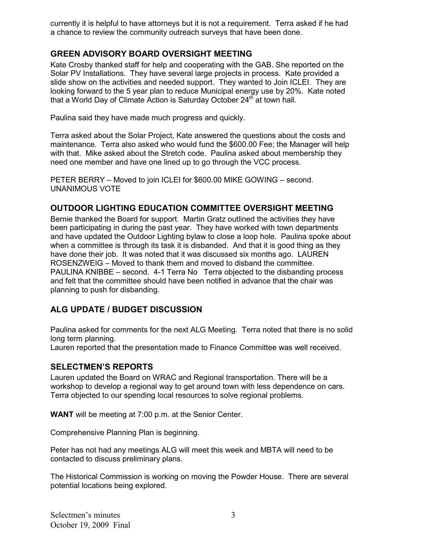currently it is helpful to have attorneys but it is not a requirement. Terra asked if he had a chance to review the community outreach surveys that have been done.

#### **GREEN ADVISORY BOARD OVERSIGHT MEETING**

Kate Crosby thanked staff for help and cooperating with the GAB. She reported on the Solar PV Installations. They have several large projects in process. Kate provided a slide show on the activities and needed support. They wanted to Join ICLEI. They are looking forward to the 5 year plan to reduce Municipal energy use by 20%. Kate noted that a World Day of Climate Action is Saturday October  $24<sup>th</sup>$  at town hall.

Paulina said they have made much progress and quickly.

Terra asked about the Solar Project, Kate answered the questions about the costs and maintenance. Terra also asked who would fund the \$600.00 Fee; the Manager will help with that. Mike asked about the Stretch code. Paulina asked about membership they need one member and have one lined up to go through the VCC process.

PETER BERRY – Moved to join ICLEI for \$600.00 MIKE GOWING – second. UNANIMOUS VOTE

#### **OUTDOOR LIGHTING EDUCATION COMMITTEE OVERSIGHT MEETING**

Bernie thanked the Board for support. Martin Gratz outlined the activities they have been participating in during the past year. They have worked with town departments and have updated the Outdoor Lighting bylaw to close a loop hole. Paulina spoke about when a committee is through its task it is disbanded. And that it is good thing as they have done their job. It was noted that it was discussed six months ago. LAUREN ROSENZWEIG – Moved to thank them and moved to disband the committee. PAULINA KNIBBE – second. 4-1 Terra No Terra objected to the disbanding process and felt that the committee should have been notified in advance that the chair was planning to push for disbanding.

### **ALG UPDATE / BUDGET DISCUSSION**

Paulina asked for comments for the next ALG Meeting. Terra noted that there is no solid long term planning.

Lauren reported that the presentation made to Finance Committee was well received.

#### **SELECTMEN'S REPORTS**

Lauren updated the Board on WRAC and Regional transportation. There will be a workshop to develop a regional way to get around town with less dependence on cars. Terra objected to our spending local resources to solve regional problems.

**WANT** will be meeting at 7:00 p.m. at the Senior Center.

Comprehensive Planning Plan is beginning.

Peter has not had any meetings ALG will meet this week and MBTA will need to be contacted to discuss preliminary plans.

The Historical Commission is working on moving the Powder House. There are several potential locations being explored.